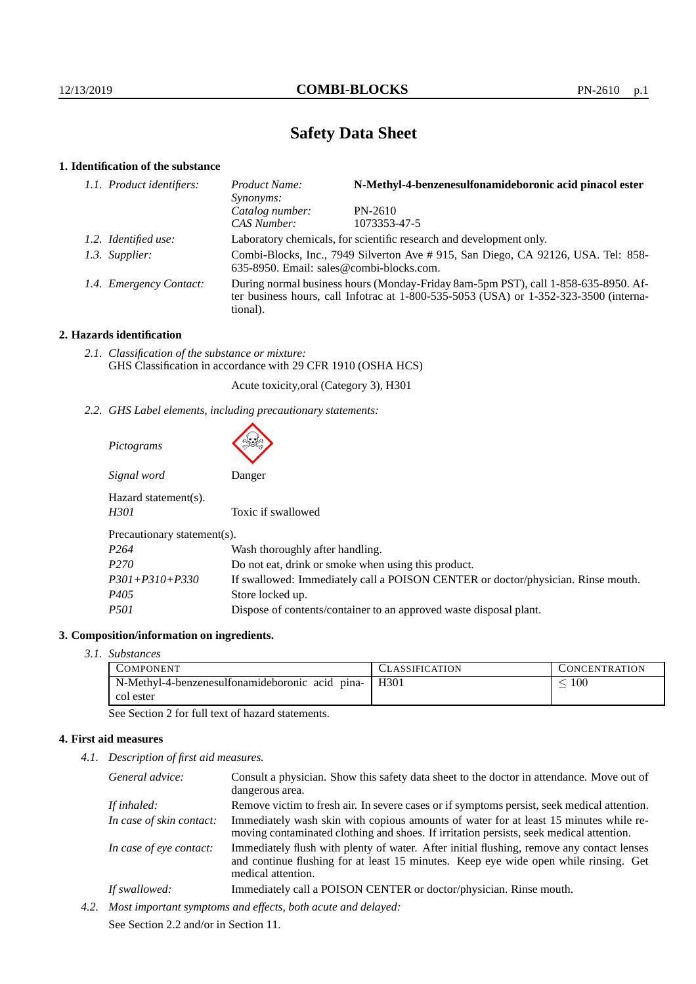# **Safety Data Sheet**

# **1. Identification of the substance**

| 1.1. Product identifiers: | Product Name:<br>Synonyms:                                                                                                                                                                  | N-Methyl-4-benzenesulfonamideboronic acid pinacol ester |  |
|---------------------------|---------------------------------------------------------------------------------------------------------------------------------------------------------------------------------------------|---------------------------------------------------------|--|
|                           | Catalog number:<br>CAS Number:                                                                                                                                                              | $PN-2610$<br>1073353-47-5                               |  |
| 1.2. Identified use:      | Laboratory chemicals, for scientific research and development only.                                                                                                                         |                                                         |  |
| 1.3. Supplier:            | Combi-Blocks, Inc., 7949 Silverton Ave #915, San Diego, CA 92126, USA. Tel: 858-<br>635-8950. Email: sales@combi-blocks.com.                                                                |                                                         |  |
| 1.4. Emergency Contact:   | During normal business hours (Monday-Friday 8am-5pm PST), call 1-858-635-8950. Af-<br>ter business hours, call Infotrac at $1-800-535-5053$ (USA) or $1-352-323-3500$ (interna-<br>tional). |                                                         |  |

# **2. Hazards identification**

*2.1. Classification of the substance or mixture:* GHS Classification in accordance with 29 CFR 1910 (OSHA HCS)

Acute toxicity,oral (Category 3), H301

*2.2. GHS Label elements, including precautionary statements:*

| Pictograms                   |                                                                                  |
|------------------------------|----------------------------------------------------------------------------------|
| Signal word                  | Danger                                                                           |
| Hazard statement(s).<br>H301 | Toxic if swallowed                                                               |
| Precautionary statement(s).  |                                                                                  |
| P <sub>264</sub>             | Wash thoroughly after handling.                                                  |
| P <sub>270</sub>             | Do not eat, drink or smoke when using this product.                              |
| $P301 + P310 + P330$         | If swallowed: Immediately call a POISON CENTER or doctor/physician. Rinse mouth. |
| P405                         | Store locked up.                                                                 |
| <i>P501</i>                  | Dispose of contents/container to an approved waste disposal plant.               |

# **3. Composition/information on ingredients.**

*3.1. Substances*

| COMPONENT                                                    | <b>CLASSIFICATION</b> | CONCENTRATION |
|--------------------------------------------------------------|-----------------------|---------------|
| N-Methyl-4-benzenesulfonamideboronic acid pina-<br>col ester | H <sub>301</sub>      | 100           |

See Section 2 for full text of hazard statements.

# **4. First aid measures**

*4.1. Description of first aid measures.*

| General advice:          | Consult a physician. Show this safety data sheet to the doctor in attendance. Move out of<br>dangerous area.                                                                                            |
|--------------------------|---------------------------------------------------------------------------------------------------------------------------------------------------------------------------------------------------------|
| If inhaled:              | Remove victim to fresh air. In severe cases or if symptoms persist, seek medical attention.                                                                                                             |
| In case of skin contact: | Immediately wash skin with copious amounts of water for at least 15 minutes while re-<br>moving contaminated clothing and shoes. If irritation persists, seek medical attention.                        |
| In case of eye contact:  | Immediately flush with plenty of water. After initial flushing, remove any contact lenses<br>and continue flushing for at least 15 minutes. Keep eye wide open while rinsing. Get<br>medical attention. |
| If swallowed:            | Immediately call a POISON CENTER or doctor/physician. Rinse mouth.                                                                                                                                      |

*4.2. Most important symptoms and effects, both acute and delayed:* See Section 2.2 and/or in Section 11.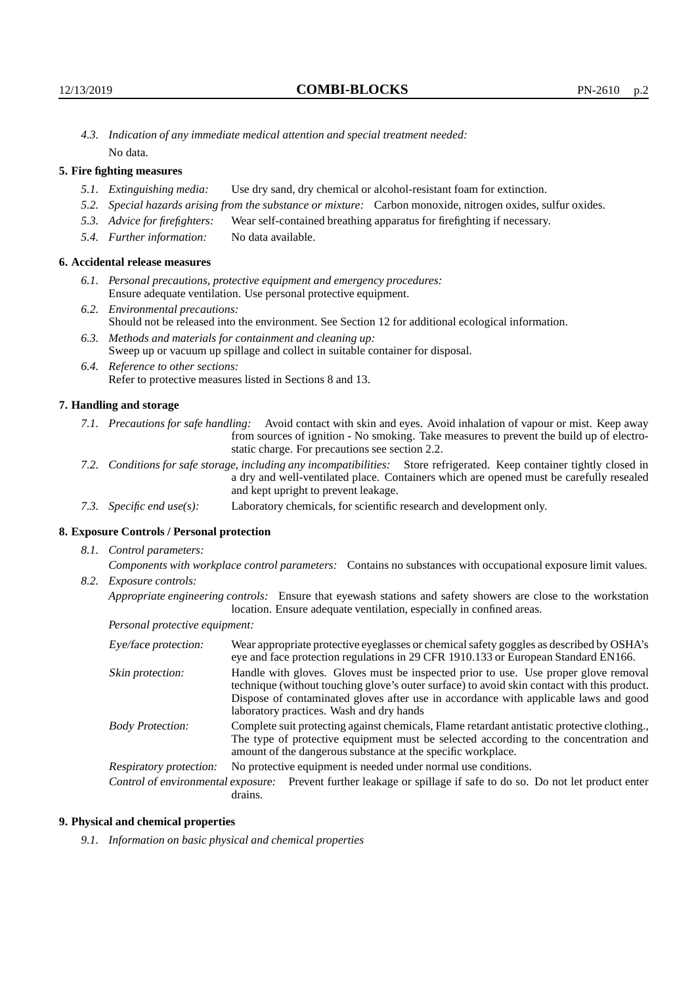*4.3. Indication of any immediate medical attention and special treatment needed:* No data.

# **5. Fire fighting measures**

- *5.1. Extinguishing media:* Use dry sand, dry chemical or alcohol-resistant foam for extinction.
- *5.2. Special hazards arising from the substance or mixture:* Carbon monoxide, nitrogen oxides, sulfur oxides.
- *5.3. Advice for firefighters:* Wear self-contained breathing apparatus for firefighting if necessary.
- *5.4. Further information:* No data available.

## **6. Accidental release measures**

- *6.1. Personal precautions, protective equipment and emergency procedures:* Ensure adequate ventilation. Use personal protective equipment.
- *6.2. Environmental precautions:* Should not be released into the environment. See Section 12 for additional ecological information.
- *6.3. Methods and materials for containment and cleaning up:* Sweep up or vacuum up spillage and collect in suitable container for disposal.
- *6.4. Reference to other sections:* Refer to protective measures listed in Sections 8 and 13.

#### **7. Handling and storage**

- *7.1. Precautions for safe handling:* Avoid contact with skin and eyes. Avoid inhalation of vapour or mist. Keep away from sources of ignition - No smoking. Take measures to prevent the build up of electrostatic charge. For precautions see section 2.2.
- *7.2. Conditions for safe storage, including any incompatibilities:* Store refrigerated. Keep container tightly closed in a dry and well-ventilated place. Containers which are opened must be carefully resealed and kept upright to prevent leakage.
- *7.3. Specific end use(s):* Laboratory chemicals, for scientific research and development only.

## **8. Exposure Controls / Personal protection**

*8.1. Control parameters:*

*Components with workplace control parameters:* Contains no substances with occupational exposure limit values. *8.2. Exposure controls:*

*Appropriate engineering controls:* Ensure that eyewash stations and safety showers are close to the workstation location. Ensure adequate ventilation, especially in confined areas.

*Personal protective equipment:*

| Eye/face protection:               | Wear appropriate protective eyeglasses or chemical safety goggles as described by OSHA's<br>eye and face protection regulations in 29 CFR 1910.133 or European Standard EN166.                                                                                                                                         |  |  |
|------------------------------------|------------------------------------------------------------------------------------------------------------------------------------------------------------------------------------------------------------------------------------------------------------------------------------------------------------------------|--|--|
| Skin protection:                   | Handle with gloves. Gloves must be inspected prior to use. Use proper glove removal<br>technique (without touching glove's outer surface) to avoid skin contact with this product.<br>Dispose of contaminated gloves after use in accordance with applicable laws and good<br>laboratory practices. Wash and dry hands |  |  |
| <b>Body Protection:</b>            | Complete suit protecting against chemicals, Flame retardant antistatic protective clothing.<br>The type of protective equipment must be selected according to the concentration and<br>amount of the dangerous substance at the specific workplace.                                                                    |  |  |
| Respiratory protection:            | No protective equipment is needed under normal use conditions.                                                                                                                                                                                                                                                         |  |  |
| Control of environmental exposure: | Prevent further leakage or spillage if safe to do so. Do not let product enter<br>drains.                                                                                                                                                                                                                              |  |  |

#### **9. Physical and chemical properties**

*9.1. Information on basic physical and chemical properties*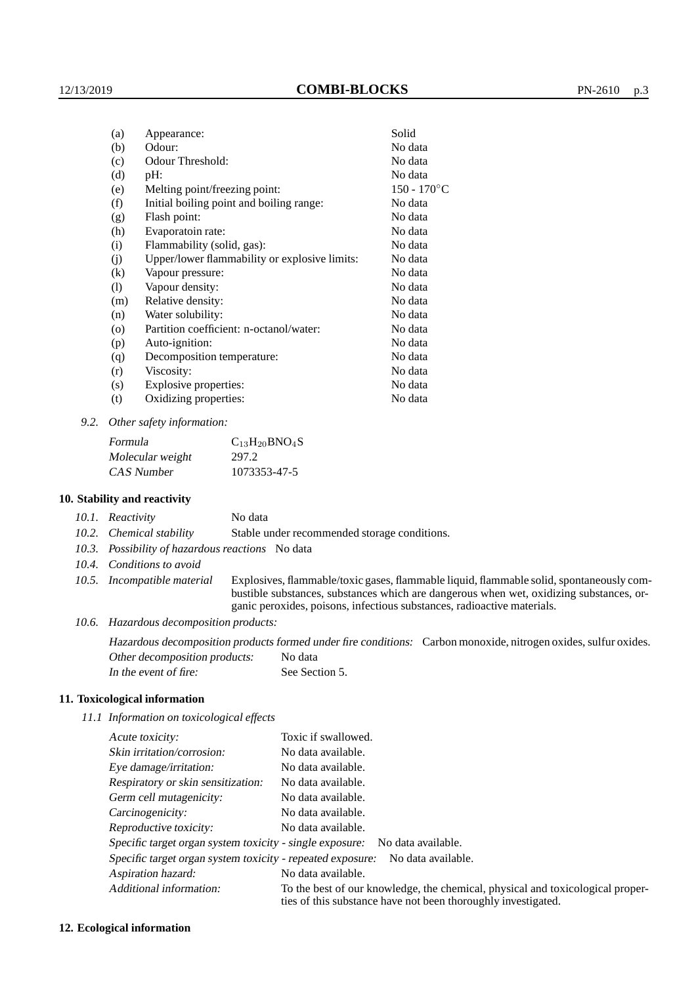| (a)      | Appearance:                                   | Solid          |
|----------|-----------------------------------------------|----------------|
| (b)      | Odour:                                        | No data        |
| (c)      | Odour Threshold:                              | No data        |
| (d)      | pH:                                           | No data        |
| (e)      | Melting point/freezing point:                 | $150 - 170$ °C |
| (f)      | Initial boiling point and boiling range:      | No data        |
| (g)      | Flash point:                                  | No data        |
| (h)      | Evaporatoin rate:                             | No data        |
| (i)      | Flammability (solid, gas):                    | No data        |
| (j)      | Upper/lower flammability or explosive limits: | No data        |
| $\rm(k)$ | Vapour pressure:                              | No data        |
| (1)      | Vapour density:                               | No data        |
| (m)      | Relative density:                             | No data        |
| (n)      | Water solubility:                             | No data        |
| $\circ$  | Partition coefficient: n-octanol/water:       | No data        |
| (p)      | Auto-ignition:                                | No data        |
| (q)      | Decomposition temperature:                    | No data        |
| (r)      | Viscosity:                                    | No data        |
| (s)      | Explosive properties:                         | No data        |
| (t)      | Oxidizing properties:                         | No data        |
|          |                                               |                |

*9.2. Other safety information:*

| Formula          | $C_{13}H_{20}BNO_4S$ |
|------------------|----------------------|
| Molecular weight | 297.2                |
| CAS Number       | 1073353-47-5         |

### **10. Stability and reactivity**

|                  | 10.1. Reactivity | No data |  |
|------------------|------------------|---------|--|
| $\overline{100}$ |                  |         |  |

- *10.2. Chemical stability* Stable under recommended storage conditions.
- *10.3. Possibility of hazardous reactions* No data
- *10.4. Conditions to avoid*
- *10.5. Incompatible material* Explosives, flammable/toxic gases, flammable liquid, flammable solid, spontaneously combustible substances, substances which are dangerous when wet, oxidizing substances, organic peroxides, poisons, infectious substances, radioactive materials.
- *10.6. Hazardous decomposition products:*

Hazardous decomposition products formed under fire conditions: Carbon monoxide, nitrogen oxides, sulfur oxides. Other decomposition products: No data In the event of fire: See Section 5.

#### **11. Toxicological information**

*11.1 Information on toxicological effects*

| Acute toxicity:                                                                  | Toxic if swallowed.                                                                                                                             |  |
|----------------------------------------------------------------------------------|-------------------------------------------------------------------------------------------------------------------------------------------------|--|
| Skin irritation/corrosion:                                                       | No data available.                                                                                                                              |  |
| Eye damage/irritation:                                                           | No data available.                                                                                                                              |  |
| Respiratory or skin sensitization:                                               | No data available.                                                                                                                              |  |
| Germ cell mutagenicity:                                                          | No data available.                                                                                                                              |  |
| Carcinogenicity:                                                                 | No data available.                                                                                                                              |  |
| Reproductive toxicity:                                                           | No data available.                                                                                                                              |  |
| Specific target organ system toxicity - single exposure:<br>No data available.   |                                                                                                                                                 |  |
| Specific target organ system toxicity - repeated exposure:<br>No data available. |                                                                                                                                                 |  |
| Aspiration hazard:                                                               | No data available.                                                                                                                              |  |
| Additional information:                                                          | To the best of our knowledge, the chemical, physical and toxicological proper-<br>ties of this substance have not been thoroughly investigated. |  |

#### **12. Ecological information**